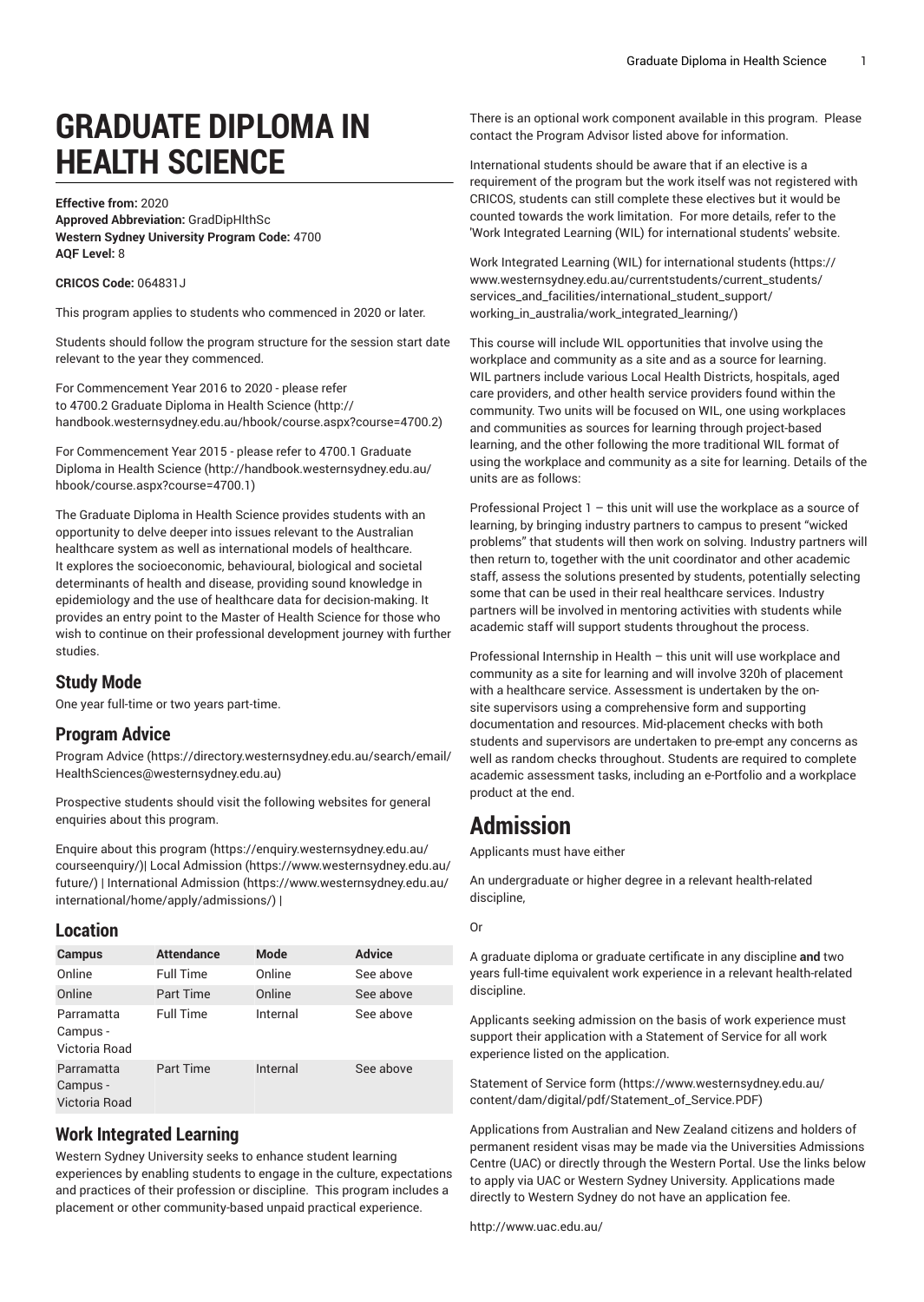# **GRADUATE DIPLOMA IN HEALTH SCIENCE**

**Effective from:** 2020 **Approved Abbreviation:** GradDipHlthSc **Western Sydney University Program Code:** 4700 **AQF Level:** 8

**CRICOS Code:** 064831J

This program applies to students who commenced in 2020 or later.

Students should follow the program structure for the session start date relevant to the year they commenced.

For [Commencement](http://handbook.westernsydney.edu.au/hbook/course.aspx?course=4700.2) Year 2016 to 2020 - please refer [to 4700.2 Graduate Diploma in Health Science](http://handbook.westernsydney.edu.au/hbook/course.aspx?course=4700.2) ([http://](http://handbook.westernsydney.edu.au/hbook/course.aspx?course=4700.2) [handbook.westernsydney.edu.au/hbook/course.aspx?course=4700.2\)](http://handbook.westernsydney.edu.au/hbook/course.aspx?course=4700.2)

For [Commencement](http://handbook.westernsydney.edu.au/hbook/course.aspx?course=4700.1) Year 2015 - please refer to 4700.1 Graduate [Diploma in Health Science](http://handbook.westernsydney.edu.au/hbook/course.aspx?course=4700.1) ([http://handbook.westernsydney.edu.au/](http://handbook.westernsydney.edu.au/hbook/course.aspx?course=4700.1) [hbook/course.aspx?course=4700.1\)](http://handbook.westernsydney.edu.au/hbook/course.aspx?course=4700.1)

The Graduate Diploma in Health Science provides students with an opportunity to delve deeper into issues relevant to the Australian healthcare system as well as international models of healthcare. It explores the socioeconomic, behavioural, biological and societal determinants of health and disease, providing sound knowledge in epidemiology and the use of healthcare data for decision-making. It provides an entry point to the Master of Health Science for those who wish to continue on their professional development journey with further studies.

# **Study Mode**

One year full-time or two years part-time.

# **Program Advice**

[Program](https://directory.westernsydney.edu.au/search/email/HealthSciences@westernsydney.edu.au) Advice ([https://directory.westernsydney.edu.au/search/email/](https://directory.westernsydney.edu.au/search/email/HealthSciences@westernsydney.edu.au) [HealthSciences@westernsydney.edu.au](https://directory.westernsydney.edu.au/search/email/HealthSciences@westernsydney.edu.au))

Prospective students should visit the following websites for general enquiries about this program.

Enquire about this [program \(https://enquiry.westernsydney.edu.au/](https://enquiry.westernsydney.edu.au/courseenquiry/) [courseenquiry/](https://enquiry.westernsydney.edu.au/courseenquiry/))| [Local Admission \(https://www.westernsydney.edu.au/](https://www.westernsydney.edu.au/future/) [future/\)](https://www.westernsydney.edu.au/future/) | [International Admission](https://www.westernsydney.edu.au/international/home/apply/admissions/) ([https://www.westernsydney.edu.au/](https://www.westernsydney.edu.au/international/home/apply/admissions/) [international/home/apply/admissions/](https://www.westernsydney.edu.au/international/home/apply/admissions/)) |

### **Location**

| <b>Campus</b>                           | <b>Attendance</b> | Mode     | <b>Advice</b> |
|-----------------------------------------|-------------------|----------|---------------|
| Online                                  | <b>Full Time</b>  | Online   | See above     |
| Online                                  | Part Time         | Online   | See above     |
| Parramatta<br>Campus -<br>Victoria Road | <b>Full Time</b>  | Internal | See above     |
| Parramatta<br>Campus -<br>Victoria Road | <b>Part Time</b>  | Internal | See above     |

# **Work Integrated Learning**

Western Sydney University seeks to enhance student learning experiences by enabling students to engage in the culture, expectations and practices of their profession or discipline. This program includes a placement or other community-based unpaid practical experience.

There is an optional work component available in this program. Please contact the Program Advisor listed above for information.

International students should be aware that if an elective is a requirement of the program but the work itself was not registered with CRICOS, students can still complete these electives but it would be counted towards the work limitation. For more details, refer to the 'Work Integrated Learning (WIL) for international students' website.

Work Integrated Learning (WIL) for [international](https://www.westernsydney.edu.au/currentstudents/current_students/services_and_facilities/international_student_support/working_in_australia/work_integrated_learning/) students ([https://](https://www.westernsydney.edu.au/currentstudents/current_students/services_and_facilities/international_student_support/working_in_australia/work_integrated_learning/) [www.westernsydney.edu.au/currentstudents/current\\_students/](https://www.westernsydney.edu.au/currentstudents/current_students/services_and_facilities/international_student_support/working_in_australia/work_integrated_learning/) [services\\_and\\_facilities/international\\_student\\_support/](https://www.westernsydney.edu.au/currentstudents/current_students/services_and_facilities/international_student_support/working_in_australia/work_integrated_learning/) [working\\_in\\_australia/work\\_integrated\\_learning/](https://www.westernsydney.edu.au/currentstudents/current_students/services_and_facilities/international_student_support/working_in_australia/work_integrated_learning/))

This course will include WIL opportunities that involve using the workplace and community as a site and as a source for learning. WIL partners include various Local Health Districts, hospitals, aged care providers, and other health service providers found within the community. Two units will be focused on WIL, one using workplaces and communities as sources for learning through project-based learning, and the other following the more traditional WIL format of using the workplace and community as a site for learning. Details of the units are as follows:

Professional Project 1 – this unit will use the workplace as a source of learning, by bringing industry partners to campus to present "wicked problems" that students will then work on solving. Industry partners will then return to, together with the unit coordinator and other academic staff, assess the solutions presented by students, potentially selecting some that can be used in their real healthcare services. Industry partners will be involved in mentoring activities with students while academic staff will support students throughout the process.

Professional Internship in Health – this unit will use workplace and community as a site for learning and will involve 320h of placement with a healthcare service. Assessment is undertaken by the onsite supervisors using a comprehensive form and supporting documentation and resources. Mid-placement checks with both students and supervisors are undertaken to pre-empt any concerns as well as random checks throughout. Students are required to complete academic assessment tasks, including an e-Portfolio and a workplace product at the end.

# **Admission**

Applicants must have either

An undergraduate or higher degree in a relevant health-related discipline,

Or

A graduate diploma or graduate certificate in any discipline **and** two years full-time equivalent work experience in a relevant health-related discipline.

Applicants seeking admission on the basis of work experience must support their application with a Statement of Service for all work experience listed on the application.

[Statement](https://www.westernsydney.edu.au/content/dam/digital/pdf/Statement_of_Service.PDF) of Service form [\(https://www.westernsydney.edu.au/](https://www.westernsydney.edu.au/content/dam/digital/pdf/Statement_of_Service.PDF) [content/dam/digital/pdf/Statement\\_of\\_Service.PDF](https://www.westernsydney.edu.au/content/dam/digital/pdf/Statement_of_Service.PDF))

Applications from Australian and New Zealand citizens and holders of permanent resident visas may be made via the Universities Admissions Centre (UAC) or directly through the Western Portal. Use the links below to apply via UAC or Western Sydney University. Applications made directly to Western Sydney do not have an application fee.

<http://www.uac.edu.au/>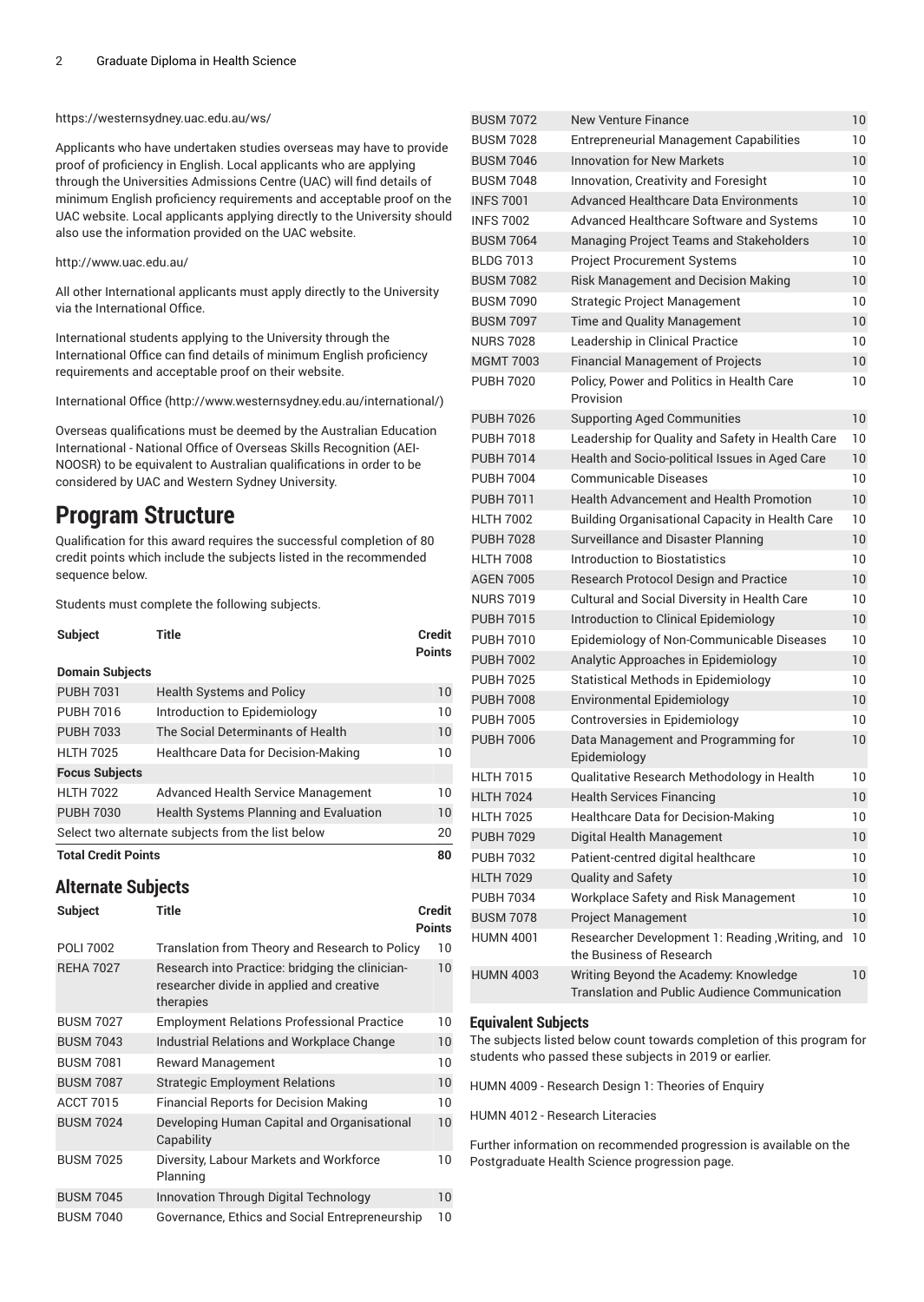#### <https://westernsydney.uac.edu.au/ws/>

Applicants who have undertaken studies overseas may have to provide proof of proficiency in English. Local applicants who are applying through the Universities Admissions Centre (UAC) will find details of minimum English proficiency requirements and acceptable proof on the UAC website. Local applicants applying directly to the University should also use the information provided on the UAC website.

#### <http://www.uac.edu.au/>

All other International applicants must apply directly to the University via the International Office.

International students applying to the University through the International Office can find details of minimum English proficiency requirements and acceptable proof on their website.

[International Office \(http://www.westernsydney.edu.au/international/\)](http://www.westernsydney.edu.au/international/)

Overseas qualifications must be deemed by the Australian Education International - National Office of Overseas Skills Recognition (AEI-NOOSR) to be equivalent to Australian qualifications in order to be considered by UAC and Western Sydney University.

# **Program Structure**

Qualification for this award requires the successful completion of 80 credit points which include the subjects listed in the recommended sequence below.

Students must complete the following subjects.

| <b>Subject</b>         | Title                                      | <b>Credit</b><br><b>Points</b> |
|------------------------|--------------------------------------------|--------------------------------|
| <b>Domain Subjects</b> |                                            |                                |
| <b>PUBH 7031</b>       | <b>Health Systems and Policy</b>           | 10                             |
| <b>PUBH 7016</b>       | Introduction to Epidemiology               | 10                             |
| <b>PUBH 7033</b>       | The Social Determinants of Health          | 10                             |
| <b>HLTH 7025</b>       | <b>Healthcare Data for Decision-Making</b> | 10                             |
| <b>Focus Subjects</b>  |                                            |                                |
| <b>HLTH 7022</b>       | <b>Advanced Health Service Management</b>  | 10                             |

PUBH 7030 Health Systems Planning and Evaluation 10 Select two alternate subjects from the list below 20

**Total Credit Points 80**

# **Alternate Subjects**

| <b>Subject</b>   | Title                                                                                                     | Credit<br>Points |
|------------------|-----------------------------------------------------------------------------------------------------------|------------------|
| POLI 7002        | Translation from Theory and Research to Policy                                                            | 10               |
| <b>REHA 7027</b> | Research into Practice: bridging the clinician-<br>researcher divide in applied and creative<br>therapies | 10               |
| <b>BUSM 7027</b> | <b>Employment Relations Professional Practice</b>                                                         | 10               |
| <b>BUSM 7043</b> | Industrial Relations and Workplace Change                                                                 | 10               |
| <b>BUSM 7081</b> | <b>Reward Management</b>                                                                                  | 10               |
| <b>BUSM 7087</b> | <b>Strategic Employment Relations</b>                                                                     | 10               |
| <b>ACCT 7015</b> | <b>Financial Reports for Decision Making</b>                                                              | 10               |
| <b>BUSM 7024</b> | Developing Human Capital and Organisational<br>Capability                                                 | 10               |
| <b>BUSM 7025</b> | Diversity, Labour Markets and Workforce<br>Planning                                                       | 10               |
| <b>BUSM 7045</b> | Innovation Through Digital Technology                                                                     | 10               |
| <b>BUSM 7040</b> | Governance, Ethics and Social Entrepreneurship                                                            | 10               |

| BUSM 7072        | New Venture Finance                                                                    | 10 |
|------------------|----------------------------------------------------------------------------------------|----|
| <b>BUSM 7028</b> | <b>Entrepreneurial Management Capabilities</b>                                         | 10 |
| <b>BUSM 7046</b> | <b>Innovation for New Markets</b>                                                      | 10 |
| <b>BUSM 7048</b> | Innovation, Creativity and Foresight                                                   | 10 |
| <b>INFS 7001</b> | <b>Advanced Healthcare Data Environments</b>                                           | 10 |
| <b>INFS 7002</b> | Advanced Healthcare Software and Systems                                               | 10 |
| <b>BUSM 7064</b> | Managing Project Teams and Stakeholders                                                | 10 |
| <b>BLDG 7013</b> | <b>Project Procurement Systems</b>                                                     | 10 |
| <b>BUSM 7082</b> | <b>Risk Management and Decision Making</b>                                             | 10 |
| <b>BUSM 7090</b> | <b>Strategic Project Management</b>                                                    | 10 |
| <b>BUSM 7097</b> | Time and Quality Management                                                            | 10 |
| <b>NURS 7028</b> | Leadership in Clinical Practice                                                        | 10 |
| <b>MGMT 7003</b> | <b>Financial Management of Projects</b>                                                | 10 |
| <b>PUBH 7020</b> | Policy, Power and Politics in Health Care<br>Provision                                 | 10 |
| <b>PUBH 7026</b> | <b>Supporting Aged Communities</b>                                                     | 10 |
| <b>PUBH 7018</b> | Leadership for Quality and Safety in Health Care                                       | 10 |
| <b>PUBH 7014</b> | Health and Socio-political Issues in Aged Care                                         | 10 |
| <b>PUBH 7004</b> | <b>Communicable Diseases</b>                                                           | 10 |
| <b>PUBH 7011</b> | <b>Health Advancement and Health Promotion</b>                                         | 10 |
| <b>HLTH 7002</b> | <b>Building Organisational Capacity in Health Care</b>                                 | 10 |
| <b>PUBH 7028</b> | Surveillance and Disaster Planning                                                     | 10 |
| <b>HLTH 7008</b> | Introduction to Biostatistics                                                          | 10 |
| <b>AGEN 7005</b> | <b>Research Protocol Design and Practice</b>                                           | 10 |
| <b>NURS 7019</b> | Cultural and Social Diversity in Health Care                                           | 10 |
| <b>PUBH 7015</b> | Introduction to Clinical Epidemiology                                                  | 10 |
| <b>PUBH 7010</b> | Epidemiology of Non-Communicable Diseases                                              | 10 |
| <b>PUBH 7002</b> | Analytic Approaches in Epidemiology                                                    | 10 |
| <b>PUBH 7025</b> | <b>Statistical Methods in Epidemiology</b>                                             | 10 |
| <b>PUBH 7008</b> | <b>Environmental Epidemiology</b>                                                      | 10 |
| <b>PUBH 7005</b> | Controversies in Epidemiology                                                          | 10 |
| <b>PUBH 7006</b> | Data Management and Programming for<br>Epidemiology                                    | 10 |
| <b>HLTH 7015</b> | Qualitative Research Methodology in Health                                             | 10 |
| <b>HLTH 7024</b> | <b>Health Services Financing</b>                                                       | 10 |
| <b>HLTH 7025</b> | Healthcare Data for Decision-Making                                                    | 10 |
| <b>PUBH 7029</b> | Digital Health Management                                                              | 10 |
| <b>PUBH 7032</b> | Patient-centred digital healthcare                                                     | 10 |
| <b>HLTH 7029</b> | Quality and Safety                                                                     | 10 |
| <b>PUBH 7034</b> | Workplace Safety and Risk Management                                                   | 10 |
| <b>BUSM 7078</b> | Project Management                                                                     | 10 |
| <b>HUMN 4001</b> | Researcher Development 1: Reading, Writing, and<br>the Business of Research            | 10 |
| <b>HUMN 4003</b> | Writing Beyond the Academy: Knowledge<br>Translation and Public Audience Communication | 10 |

#### **Equivalent Subjects**

The subjects listed below count towards completion of this program for students who passed these subjects in 2019 or earlier.

HUMN 4009 - Research Design 1: Theories of Enquiry

HUMN 4012 - Research Literacies

Further information on recommended progression is available on the Postgraduate Health Science progression page.